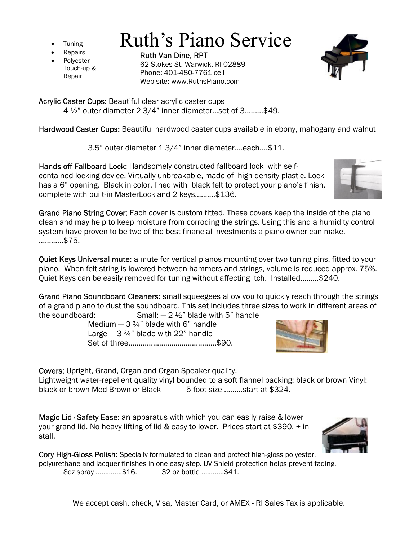- **Tuning**
- **Repairs**
- **Polyester** Touch-up & Repair

Ruth Van Dine, RPT 62 Stokes St. Warwick, RI 02889 Phone: 401-480-7761 cell Web site: www.RuthsPiano.com

Ruth's Piano Service

Acrylic Caster Cups: Beautiful clear acrylic caster cups

4 ½" outer diameter 2 3/4" inner diameter...set of 3.........\$49.

Hardwood Caster Cups: Beautiful hardwood caster cups available in ebony, mahogany and walnut

3.5" outer diameter 1 3/4" inner diameter....each....\$11.

Hands off Fallboard Lock: Handsomely constructed fallboard lock with selfcontained locking device. Virtually unbreakable, made of high-density plastic. Lock has a 6" opening. Black in color, lined with black felt to protect your piano's finish. complete with built-in MasterLock and 2 keys..........\$136.

Grand Piano String Cover: Each cover is custom fitted. These covers keep the inside of the piano clean and may help to keep moisture from corroding the strings. Using this and a humidity control system have proven to be two of the best financial investments a piano owner can make. ............\$75.

Quiet Keys Universal mute: a mute for vertical pianos mounting over two tuning pins, fitted to your piano. When felt string is lowered between hammers and strings, volume is reduced approx. 75%. Quiet Keys can be easily removed for tuning without affecting itch. Installed…...…\$240.

Grand Piano Soundboard Cleaners: small squeegees allow you to quickly reach through the strings of a grand piano to dust the soundboard. This set includes three sizes to work in different areas of the soundboard:  $Small: -2 \frac{1}{2}$ " blade with 5" handle

Medium  $-3\frac{3}{4}$ " blade with 6" handle Large  $-3\frac{3}{4}$ " blade with 22" handle Set of three...........................................\$90.

Covers: Upright, Grand, Organ and Organ Speaker quality.

Lightweight water-repellent quality vinyl bounded to a soft flannel backing: black or brown Vinyl: black or brown Med Brown or Black 5-foot size .........start at \$324.

Magic Lid · Safety Ease: an apparatus with which you can easily raise & lower your grand lid. No heavy lifting of lid & easy to lower. Prices start at \$390. + install.

Cory High-Gloss Polish: Specially formulated to clean and protect high-gloss polyester, polyurethane and lacquer finishes in one easy step. UV Shield protection helps prevent fading. 8oz spray ..............\$16. 32 oz bottle ............\$41.

We accept cash, check, Visa, Master Card, or AMEX - RI Sales Tax is applicable.